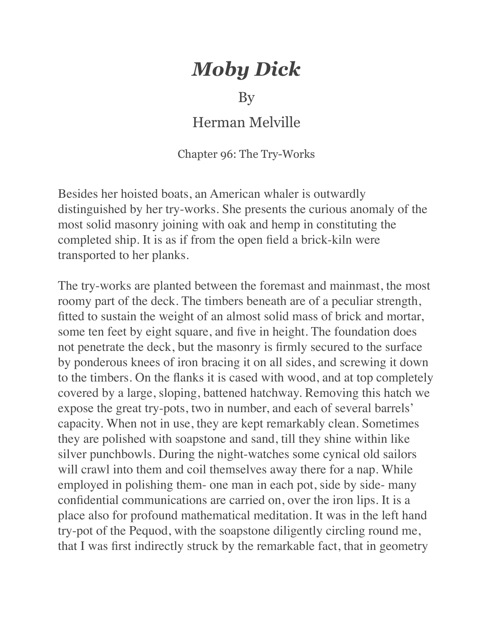## *Moby Dick*

## By

## Herman Melville

Chapter 96: The Try-Works

Besides her hoisted boats, an American whaler is outwardly distinguished by her try-works. She presents the curious anomaly of the most solid masonry joining with oak and hemp in constituting the completed ship. It is as if from the open field a brick-kiln were transported to her planks.

The try-works are planted between the foremast and mainmast, the most roomy part of the deck. The timbers beneath are of a peculiar strength, fitted to sustain the weight of an almost solid mass of brick and mortar, some ten feet by eight square, and five in height. The foundation does not penetrate the deck, but the masonry is firmly secured to the surface by ponderous knees of iron bracing it on all sides, and screwing it down to the timbers. On the flanks it is cased with wood, and at top completely covered by a large, sloping, battened hatchway. Removing this hatch we expose the great try-pots, two in number, and each of several barrels' capacity. When not in use, they are kept remarkably clean. Sometimes they are polished with soapstone and sand, till they shine within like silver punchbowls. During the night-watches some cynical old sailors will crawl into them and coil themselves away there for a nap. While employed in polishing them- one man in each pot, side by side- many confidential communications are carried on, over the iron lips. It is a place also for profound mathematical meditation. It was in the left hand try-pot of the Pequod, with the soapstone diligently circling round me, that I was first indirectly struck by the remarkable fact, that in geometry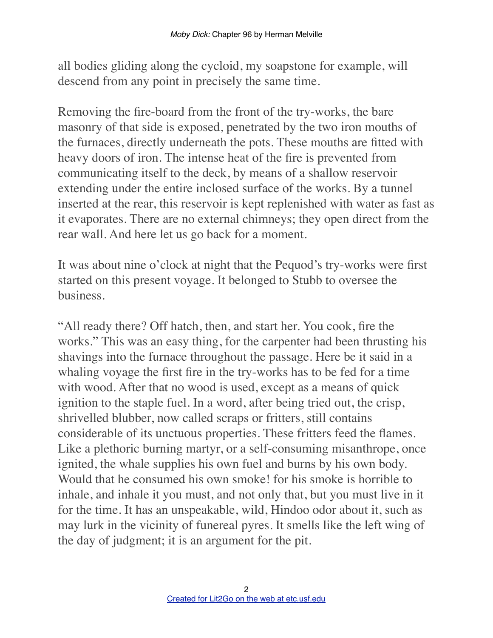all bodies gliding along the cycloid, my soapstone for example, will descend from any point in precisely the same time.

Removing the fire-board from the front of the try-works, the bare masonry of that side is exposed, penetrated by the two iron mouths of the furnaces, directly underneath the pots. These mouths are fitted with heavy doors of iron. The intense heat of the fire is prevented from communicating itself to the deck, by means of a shallow reservoir extending under the entire inclosed surface of the works. By a tunnel inserted at the rear, this reservoir is kept replenished with water as fast as it evaporates. There are no external chimneys; they open direct from the rear wall. And here let us go back for a moment.

It was about nine o'clock at night that the Pequod's try-works were first started on this present voyage. It belonged to Stubb to oversee the business.

"All ready there? Off hatch, then, and start her. You cook, fire the works." This was an easy thing, for the carpenter had been thrusting his shavings into the furnace throughout the passage. Here be it said in a whaling voyage the first fire in the try-works has to be fed for a time with wood. After that no wood is used, except as a means of quick ignition to the staple fuel. In a word, after being tried out, the crisp, shrivelled blubber, now called scraps or fritters, still contains considerable of its unctuous properties. These fritters feed the flames. Like a plethoric burning martyr, or a self-consuming misanthrope, once ignited, the whale supplies his own fuel and burns by his own body. Would that he consumed his own smoke! for his smoke is horrible to inhale, and inhale it you must, and not only that, but you must live in it for the time. It has an unspeakable, wild, Hindoo odor about it, such as may lurk in the vicinity of funereal pyres. It smells like the left wing of the day of judgment; it is an argument for the pit.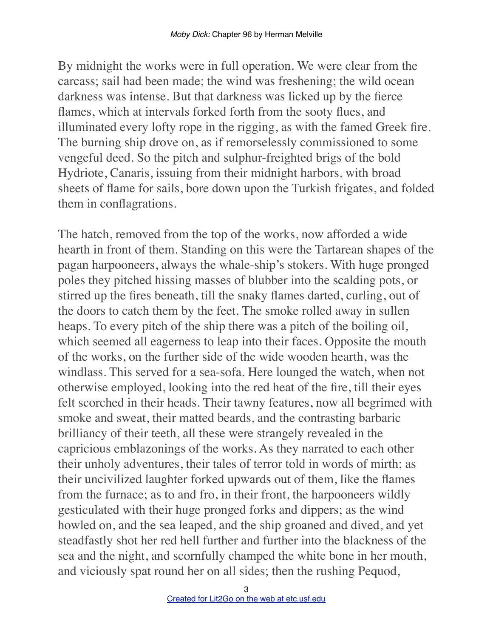By midnight the works were in full operation. We were clear from the carcass; sail had been made; the wind was freshening; the wild ocean darkness was intense. But that darkness was licked up by the fierce flames, which at intervals forked forth from the sooty flues, and illuminated every lofty rope in the rigging, as with the famed Greek fire. The burning ship drove on, as if remorselessly commissioned to some vengeful deed. So the pitch and sulphur-freighted brigs of the bold Hydriote, Canaris, issuing from their midnight harbors, with broad sheets of flame for sails, bore down upon the Turkish frigates, and folded them in conflagrations.

The hatch, removed from the top of the works, now afforded a wide hearth in front of them. Standing on this were the Tartarean shapes of the pagan harpooneers, always the whale-ship's stokers. With huge pronged poles they pitched hissing masses of blubber into the scalding pots, or stirred up the fires beneath, till the snaky flames darted, curling, out of the doors to catch them by the feet. The smoke rolled away in sullen heaps. To every pitch of the ship there was a pitch of the boiling oil, which seemed all eagerness to leap into their faces. Opposite the mouth of the works, on the further side of the wide wooden hearth, was the windlass. This served for a sea-sofa. Here lounged the watch, when not otherwise employed, looking into the red heat of the fire, till their eyes felt scorched in their heads. Their tawny features, now all begrimed with smoke and sweat, their matted beards, and the contrasting barbaric brilliancy of their teeth, all these were strangely revealed in the capricious emblazonings of the works. As they narrated to each other their unholy adventures, their tales of terror told in words of mirth; as their uncivilized laughter forked upwards out of them, like the flames from the furnace; as to and fro, in their front, the harpooneers wildly gesticulated with their huge pronged forks and dippers; as the wind howled on, and the sea leaped, and the ship groaned and dived, and yet steadfastly shot her red hell further and further into the blackness of the sea and the night, and scornfully champed the white bone in her mouth, and viciously spat round her on all sides; then the rushing Pequod,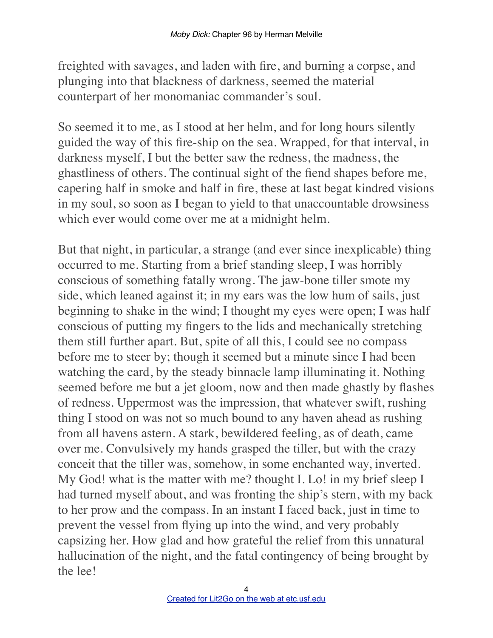freighted with savages, and laden with fire, and burning a corpse, and plunging into that blackness of darkness, seemed the material counterpart of her monomaniac commander's soul.

So seemed it to me, as I stood at her helm, and for long hours silently guided the way of this fire-ship on the sea. Wrapped, for that interval, in darkness myself, I but the better saw the redness, the madness, the ghastliness of others. The continual sight of the fiend shapes before me, capering half in smoke and half in fire, these at last begat kindred visions in my soul, so soon as I began to yield to that unaccountable drowsiness which ever would come over me at a midnight helm.

But that night, in particular, a strange (and ever since inexplicable) thing occurred to me. Starting from a brief standing sleep, I was horribly conscious of something fatally wrong. The jaw-bone tiller smote my side, which leaned against it; in my ears was the low hum of sails, just beginning to shake in the wind; I thought my eyes were open; I was half conscious of putting my fingers to the lids and mechanically stretching them still further apart. But, spite of all this, I could see no compass before me to steer by; though it seemed but a minute since I had been watching the card, by the steady binnacle lamp illuminating it. Nothing seemed before me but a jet gloom, now and then made ghastly by flashes of redness. Uppermost was the impression, that whatever swift, rushing thing I stood on was not so much bound to any haven ahead as rushing from all havens astern. A stark, bewildered feeling, as of death, came over me. Convulsively my hands grasped the tiller, but with the crazy conceit that the tiller was, somehow, in some enchanted way, inverted. My God! what is the matter with me? thought I. Lo! in my brief sleep I had turned myself about, and was fronting the ship's stern, with my back to her prow and the compass. In an instant I faced back, just in time to prevent the vessel from flying up into the wind, and very probably capsizing her. How glad and how grateful the relief from this unnatural hallucination of the night, and the fatal contingency of being brought by the lee!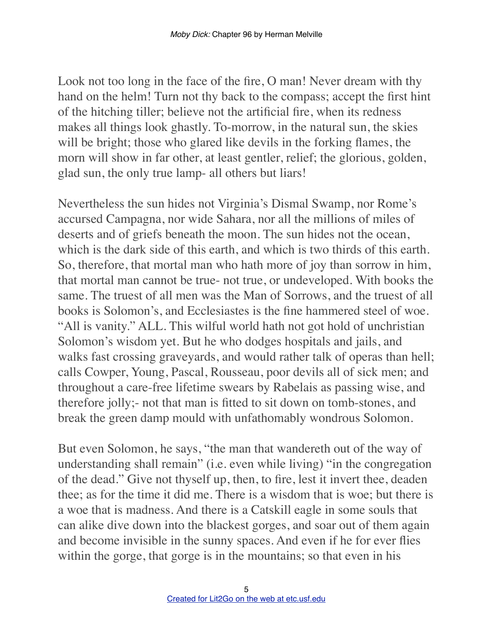Look not too long in the face of the fire, O man! Never dream with thy hand on the helm! Turn not thy back to the compass; accept the first hint of the hitching tiller; believe not the artificial fire, when its redness makes all things look ghastly. To-morrow, in the natural sun, the skies will be bright; those who glared like devils in the forking flames, the morn will show in far other, at least gentler, relief; the glorious, golden, glad sun, the only true lamp- all others but liars!

Nevertheless the sun hides not Virginia's Dismal Swamp, nor Rome's accursed Campagna, nor wide Sahara, nor all the millions of miles of deserts and of griefs beneath the moon. The sun hides not the ocean, which is the dark side of this earth, and which is two thirds of this earth. So, therefore, that mortal man who hath more of joy than sorrow in him, that mortal man cannot be true- not true, or undeveloped. With books the same. The truest of all men was the Man of Sorrows, and the truest of all books is Solomon's, and Ecclesiastes is the fine hammered steel of woe. "All is vanity." ALL. This wilful world hath not got hold of unchristian Solomon's wisdom yet. But he who dodges hospitals and jails, and walks fast crossing graveyards, and would rather talk of operas than hell; calls Cowper, Young, Pascal, Rousseau, poor devils all of sick men; and throughout a care-free lifetime swears by Rabelais as passing wise, and therefore jolly;- not that man is fitted to sit down on tomb-stones, and break the green damp mould with unfathomably wondrous Solomon.

But even Solomon, he says, "the man that wandereth out of the way of understanding shall remain" (i.e. even while living) "in the congregation of the dead." Give not thyself up, then, to fire, lest it invert thee, deaden thee; as for the time it did me. There is a wisdom that is woe; but there is a woe that is madness. And there is a Catskill eagle in some souls that can alike dive down into the blackest gorges, and soar out of them again and become invisible in the sunny spaces. And even if he for ever flies within the gorge, that gorge is in the mountains; so that even in his